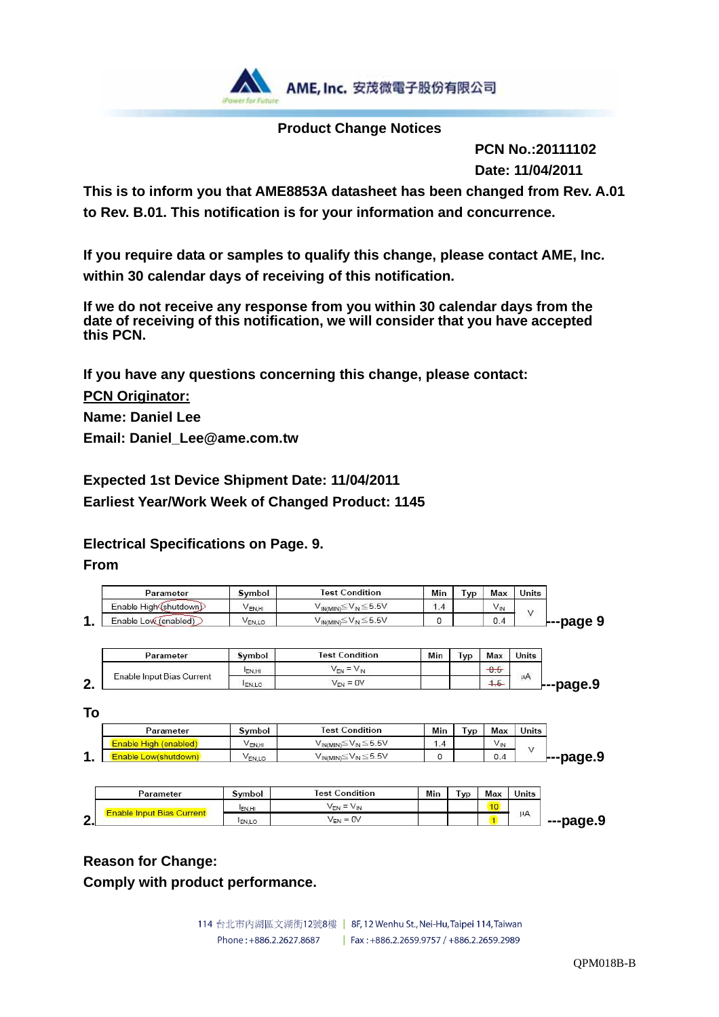

### **Product Change Notices**

 **PCN No.:20111102 Date: 11/04/2011** 

**This is to inform you that AME8853A datasheet has been changed from Rev. A.01 to Rev. B.01. This notification is for your information and concurrence.** 

**If you require data or samples to qualify this change, please contact AME, Inc. within 30 calendar days of receiving of this notification.** 

**If we do not receive any response from you within 30 calendar days from the date of receiving of this notification, we will consider that you have accepted this PCN.** 

**If you have any questions concerning this change, please contact: PCN Originator:** 

**Name: Daniel Lee Email: Daniel\_Lee@ame.com.tw** 

**Expected 1st Device Shipment Date: 11/04/2011 Earliest Year/Work Week of Changed Product: 1145** 

**Electrical Specifications on Page. 9.** 

**From** 

| Parameter              | <b>Symbol</b>      | <b>Test Condition</b>                       | Min | l vp | Max             | <b>Units</b> |
|------------------------|--------------------|---------------------------------------------|-----|------|-----------------|--------------|
| Enable High (shutdown) | VEN.H.             | $v_{IN(MIN)}$ ≦ $V_{IN}$ ≤5.5V              | 1.4 |      | $V_{\text{IN}}$ | s le         |
| Enable Low (enabled)   | V <sub>EN.LO</sub> | V <sub>IN(MIN)</sub> ≦V <sub>IN</sub> ≦5.5V |     |      | 0.4             | ---page 9    |

| Parameter                 | Symbol       | <b>Test Condition</b>            | Min | <b>I</b> VD | Max                | Units                  |
|---------------------------|--------------|----------------------------------|-----|-------------|--------------------|------------------------|
|                           | <b>EN.HI</b> | $\overline{\phantom{a}}$<br>YEN. |     |             | $\sim$<br>U.U      |                        |
| Enable Input Bias Current | <b>ENLO</b>  | $= 0V$<br>VEN                    |     |             | <b>State State</b> | μA<br><b>F--page.9</b> |

**To** 

| Parameter                    | Symbol | <b>Test Condition</b>                       | Min | <b>VD</b> | Max             | <b>Units</b>     |
|------------------------------|--------|---------------------------------------------|-----|-----------|-----------------|------------------|
| <b>Enable High (enabled)</b> | EN.HI  | $V_{IN(MIN)} \leq V_{IN} \leq 5.5V$         | 1.4 |           | V <sub>IN</sub> |                  |
|                              | VEN.LO | V <sub>IN(MIN)</sub> ≦V <sub>IN</sub> ≦5.5V |     |           | 0.4             | <b>⊦--page.9</b> |

| Parameter           | Symbol       | <b>Test Condition</b>   | Min | Гур | Max                   | <b>Units</b> |
|---------------------|--------------|-------------------------|-----|-----|-----------------------|--------------|
|                     | <b>EN.HI</b> | $-$<br>V⊏N<br>V IN<br>- |     |     | $\overline{AB}$<br>-- |              |
| <b>Bias Current</b> | <b>EN.LO</b> | $V_{EN} = 0V$           |     |     |                       | μA           |

### **Reason for Change:**

**Comply with product performance.** 

114 台北市內湖區文湖街12號8樓 | 8F, 12 Wenhu St., Nei-Hu, Taipei 114, Taiwan Phone: +886.2.2627.8687 | Fax: +886.2.2659.9757 / +886.2.2659.2989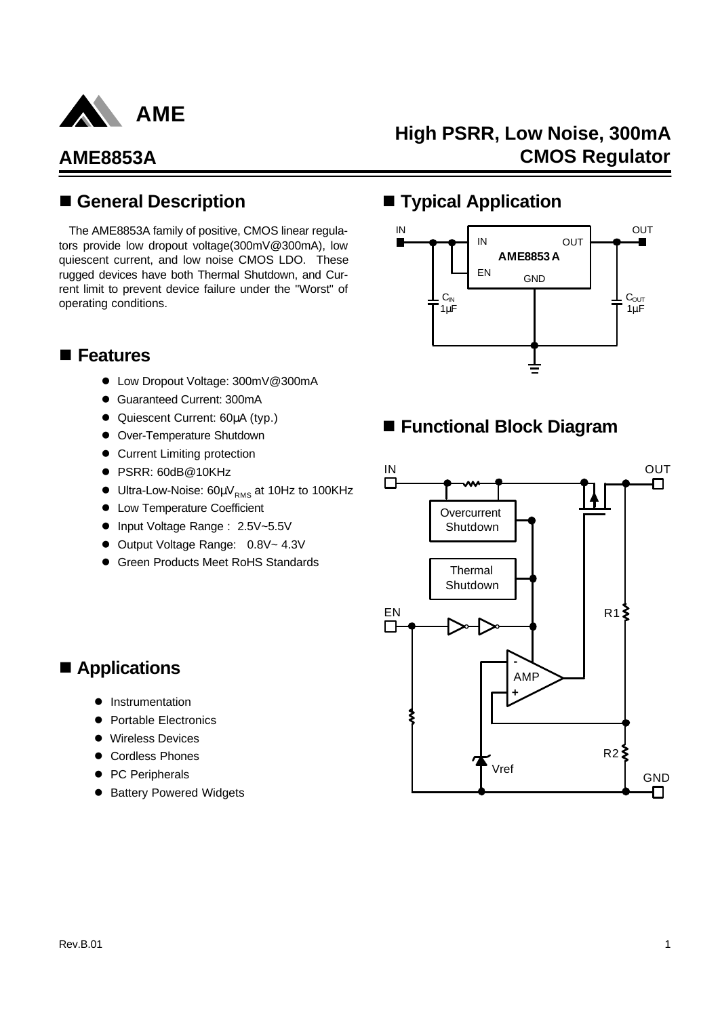

## **High PSRR, Low Noise, 300mA CMOS Regulator**

## n **General Description**

The AME8853A family of positive, CMOS linear regulators provide low dropout voltage(300mV@300mA), low quiescent current, and low noise CMOS LDO. These rugged devices have both Thermal Shutdown, and Current limit to prevent device failure under the "Worst" of operating conditions.

## **n** Features

- Low Dropout Voltage: 300mV@300mA
- **Guaranteed Current: 300mA**
- **•** Quiescent Current: 60μA (typ.)
- **•** Over-Temperature Shutdown
- **Current Limiting protection**
- PSRR: 60dB@10KHz
- $\bullet$  Ultra-Low-Noise: 60µ $V_{RMS}$  at 10Hz to 100KHz
- **Low Temperature Coefficient**
- Input Voltage Range : 2.5V~5.5V
- Output Voltage Range: 0.8V~ 4.3V
- **Green Products Meet RoHS Standards**

## ■ **Typical Application**



## ■ Functional Block Diagram



## $\blacksquare$  Applications

- **Instrumentation**
- Portable Electronics
- **Wireless Devices**
- **Cordless Phones**
- PC Peripherals
- **Battery Powered Widgets**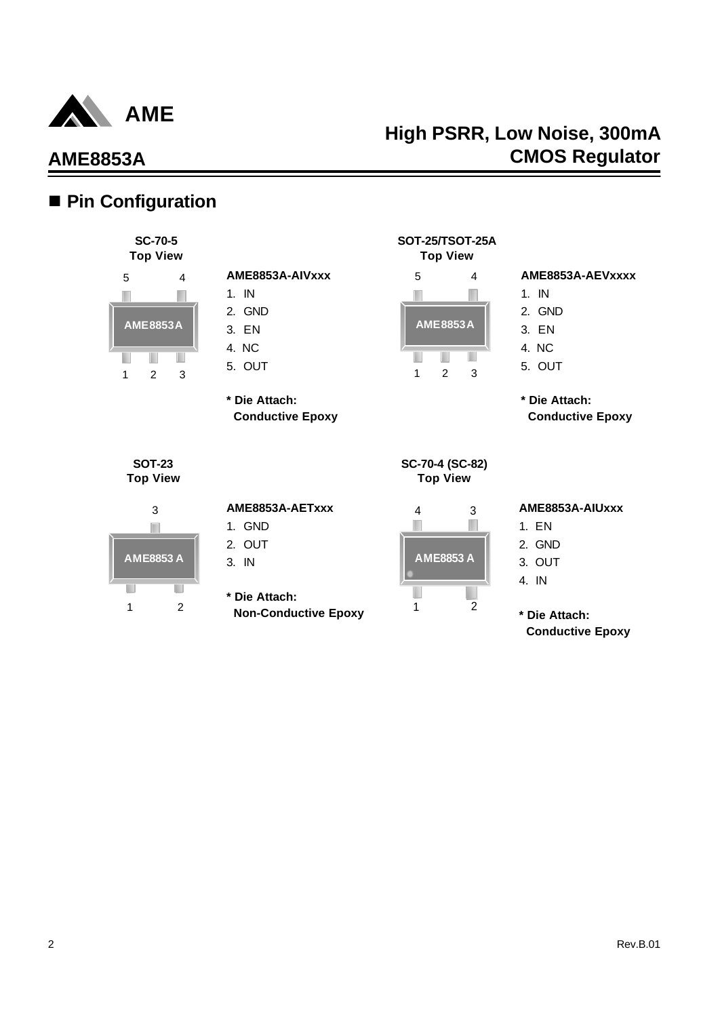

## ■ Pin Configuration

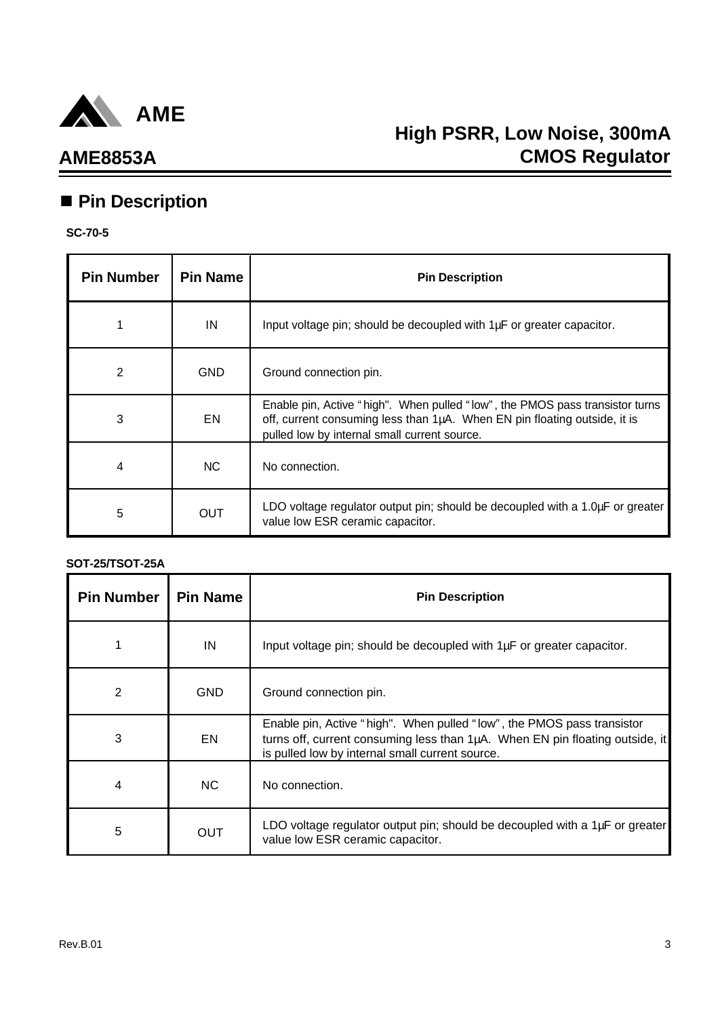

## **AME8853A**

## ■ Pin Description

### **SC-70-5**

| <b>Pin Number</b> | <b>Pin Name</b> | <b>Pin Description</b>                                                                                                                                                                                    |
|-------------------|-----------------|-----------------------------------------------------------------------------------------------------------------------------------------------------------------------------------------------------------|
|                   | IN              | Input voltage pin; should be decoupled with 1µF or greater capacitor.                                                                                                                                     |
| 2                 | <b>GND</b>      | Ground connection pin.                                                                                                                                                                                    |
| 3                 | EN              | Enable pin, Active "high". When pulled "low", the PMOS pass transistor turns<br>off, current consuming less than 1µA. When EN pin floating outside, it is<br>pulled low by internal small current source. |
| 4                 | <b>NC</b>       | No connection.                                                                                                                                                                                            |
| 5                 | <b>OUT</b>      | LDO voltage regulator output pin; should be decoupled with a 1.0µF or greater<br>value low ESR ceramic capacitor.                                                                                         |

### **SOT-25/TSOT-25A**

| <b>Pin Number</b> | <b>Pin Name</b> | <b>Pin Description</b>                                                                                                                                                                                    |
|-------------------|-----------------|-----------------------------------------------------------------------------------------------------------------------------------------------------------------------------------------------------------|
|                   | IN              | Input voltage pin; should be decoupled with 1µF or greater capacitor.                                                                                                                                     |
| $\overline{2}$    | <b>GND</b>      | Ground connection pin.                                                                                                                                                                                    |
| 3                 | EN              | Enable pin, Active "high". When pulled "low", the PMOS pass transistor<br>turns off, current consuming less than 1µA. When EN pin floating outside, it<br>is pulled low by internal small current source. |
| 4                 | NC.             | No connection.                                                                                                                                                                                            |
| 5                 | OUT             | LDO voltage regulator output pin; should be decoupled with a 1µF or greater<br>value low ESR ceramic capacitor.                                                                                           |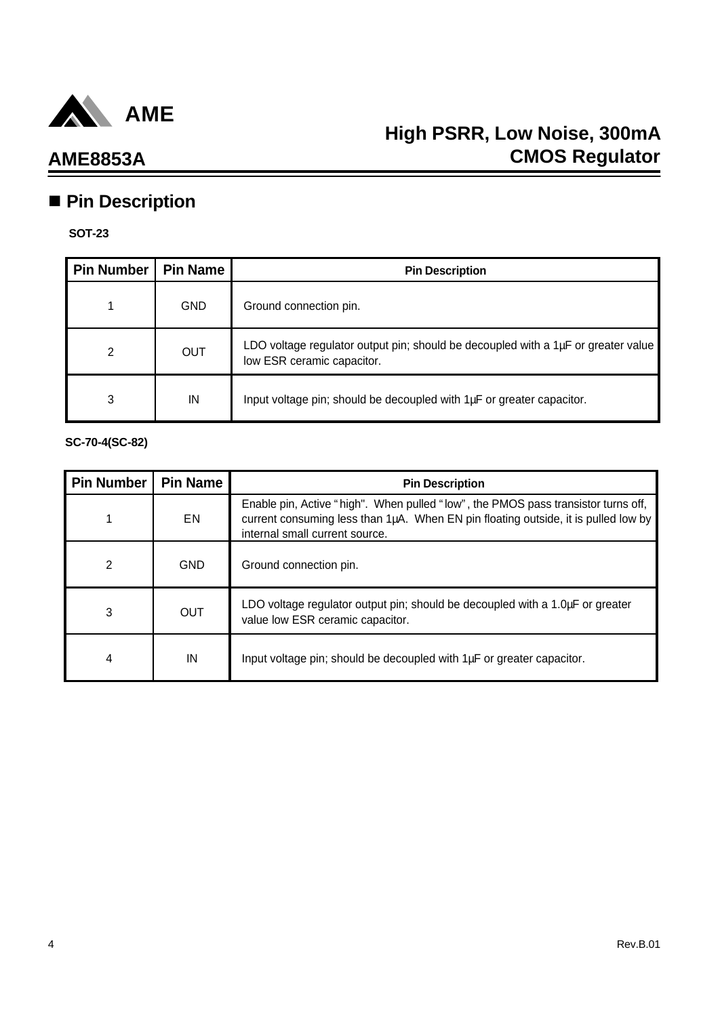

## **n** Pin Description

### **SOT-23**

| <b>Pin Number</b> | <b>Pin Name</b> | <b>Pin Description</b>                                                                                               |
|-------------------|-----------------|----------------------------------------------------------------------------------------------------------------------|
|                   | <b>GND</b>      | Ground connection pin.                                                                                               |
| 2                 | OUT             | LDO voltage regulator output pin; should be decoupled with a $1\mu$ F or greater value<br>low ESR ceramic capacitor. |
| 3                 | IN              | Input voltage pin; should be decoupled with 1µF or greater capacitor.                                                |

**SC-70-4(SC-82)**

| <b>Pin Number</b> | <b>Pin Name</b> | <b>Pin Description</b>                                                                                                                                                                                    |
|-------------------|-----------------|-----------------------------------------------------------------------------------------------------------------------------------------------------------------------------------------------------------|
| 1                 | EN.             | Enable pin, Active "high". When pulled "low", the PMOS pass transistor turns off,<br>current consuming less than 1µA. When EN pin floating outside, it is pulled low by<br>internal small current source. |
| 2                 | <b>GND</b>      | Ground connection pin.                                                                                                                                                                                    |
| 3                 | <b>OUT</b>      | LDO voltage regulator output pin; should be decoupled with a 1.0µF or greater<br>value low ESR ceramic capacitor.                                                                                         |
| 4                 | IN              | Input voltage pin; should be decoupled with 1µF or greater capacitor.                                                                                                                                     |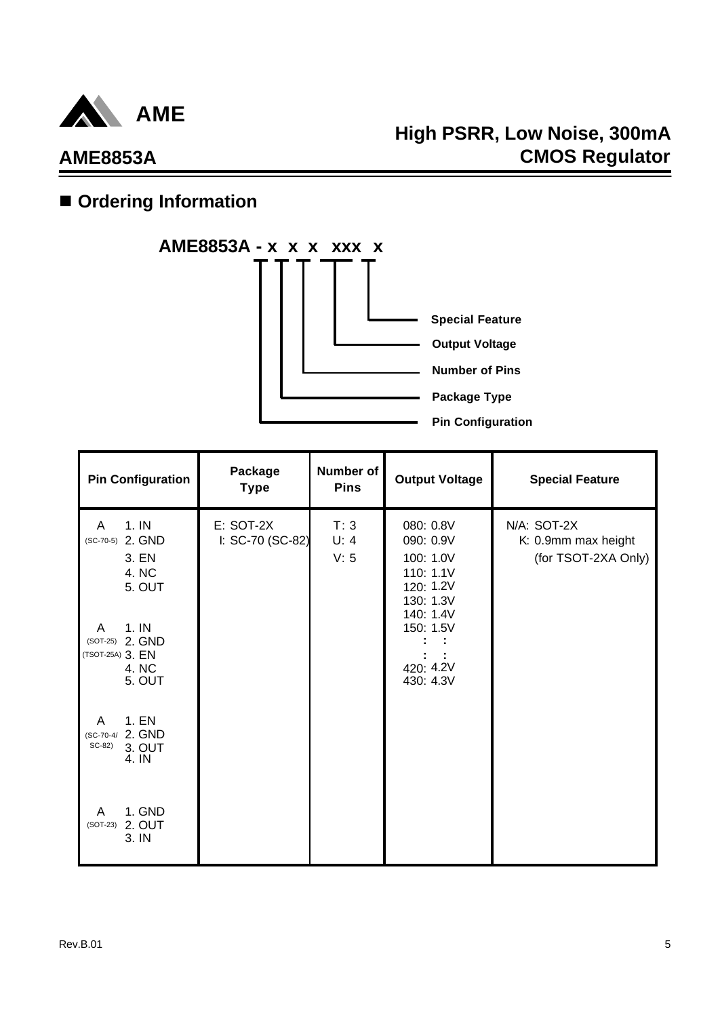

## **High PSRR, Low Noise, 300mA CMOS Regulator**

# $\blacksquare$  Ordering Information



| <b>Pin Configuration</b>                                             | Package<br><b>Type</b>        | <b>Number of</b><br><b>Pins</b> | <b>Output Voltage</b>                                                      | <b>Special Feature</b>                                    |
|----------------------------------------------------------------------|-------------------------------|---------------------------------|----------------------------------------------------------------------------|-----------------------------------------------------------|
| 1. IN<br>A<br>(SC-70-5) 2. GND<br>3. EN<br>4. NC<br>5. OUT           | E: SOT-2X<br>I: SC-70 (SC-82) | T:3<br>U: 4<br>V: 5             | 080: 0.8V<br>090: 0.9V<br>100: 1.0V<br>110: 1.1V<br>120: 1.2V<br>130: 1.3V | N/A: SOT-2X<br>K: 0.9mm max height<br>(for TSOT-2XA Only) |
| 1. IN<br>A<br>(SOT-25) 2. GND<br>(TSOT-25A) 3. EN<br>4. NC<br>5. OUT |                               |                                 | 140: 1.4V<br>150: 1.5V<br>420: 4.2V<br>430: 4.3V                           |                                                           |
| 1. EN<br>A<br>(SC-70-4/ 2. GND<br>$SC-82$<br>3. OUT<br>4. IN         |                               |                                 |                                                                            |                                                           |
| 1. GND<br>A<br>(SOT-23) 2. OUT<br>3. IN                              |                               |                                 |                                                                            |                                                           |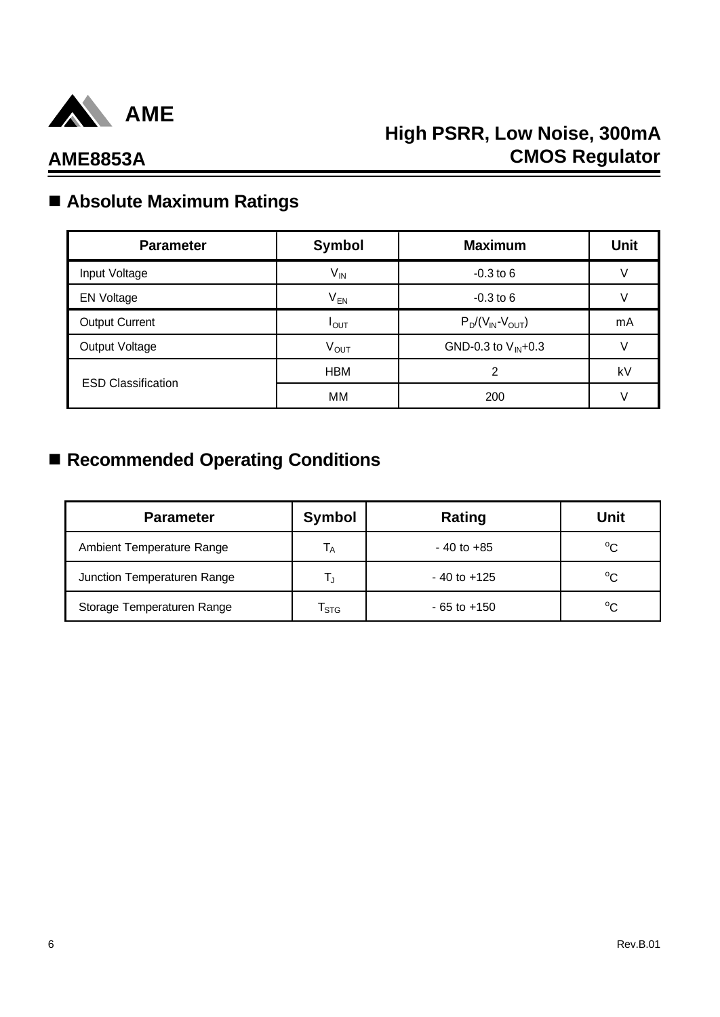

# n **Absolute Maximum Ratings**

| <b>Parameter</b>          | <b>Symbol</b>          | <b>Maximum</b>          | <b>Unit</b> |
|---------------------------|------------------------|-------------------------|-------------|
| Input Voltage             | $V_{IN}$               | $-0.3$ to 6             |             |
| <b>EN Voltage</b>         | $V_{EN}$               | $-0.3$ to 6             |             |
| <b>Output Current</b>     | $I_{OUT}$              | $P_D/(V_{IN}-V_{OUT})$  | mA          |
| Output Voltage            | <b>V<sub>OUT</sub></b> | GND-0.3 to $V_{IN}+0.3$ | V           |
|                           | <b>HBM</b>             | 2                       | kV          |
| <b>ESD Classification</b> | MM                     | 200                     |             |

## ■ Recommended Operating Conditions

| <b>Parameter</b>            | Symbol           | Rating          | Unit         |
|-----------------------------|------------------|-----------------|--------------|
| Ambient Temperature Range   | Iд               | $-40$ to $+85$  | $^{\circ}$ C |
| Junction Temperaturen Range |                  | $-40$ to $+125$ | $^{\circ}C$  |
| Storage Temperaturen Range  | I <sub>STG</sub> | $-65$ to $+150$ | $^{\circ}C$  |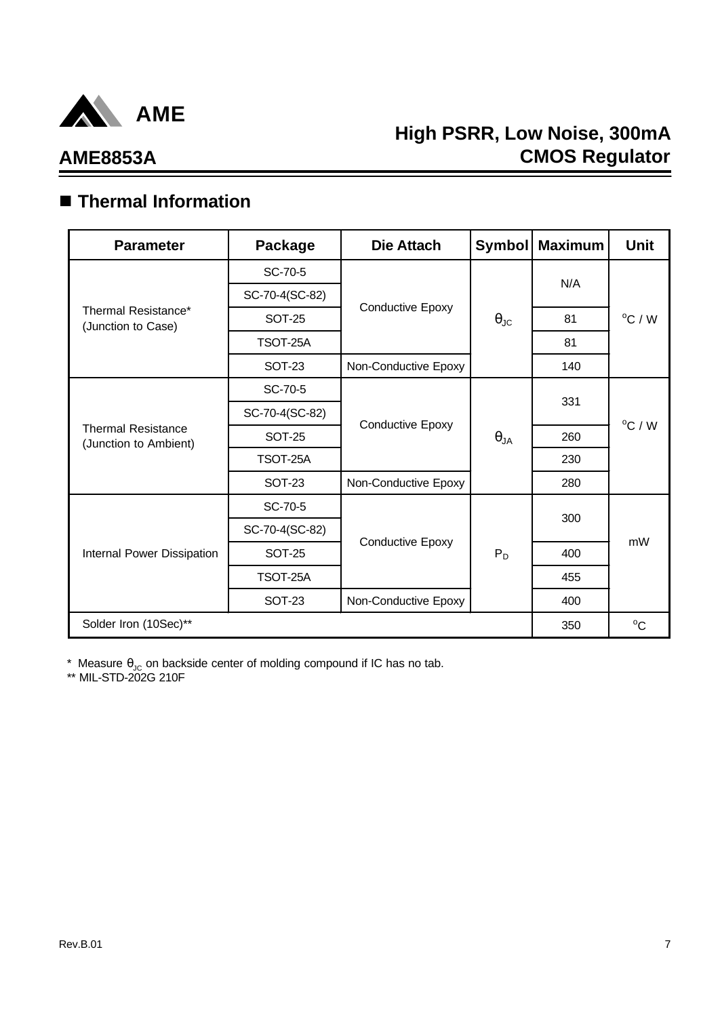

## **AME8853A**

## n **Thermal Information**

| <b>Parameter</b>                                   | Package        | Die Attach              | <b>Symbol</b>        | <b>Maximum</b> | <b>Unit</b>      |
|----------------------------------------------------|----------------|-------------------------|----------------------|----------------|------------------|
|                                                    | SC-70-5        |                         |                      |                |                  |
| Thermal Resistance*<br>(Junction to Case)          | SC-70-4(SC-82) |                         |                      | N/A            |                  |
|                                                    | <b>SOT-25</b>  | Conductive Epoxy        | $\theta_{\text{JC}}$ | 81             | $^{\circ}$ C / W |
|                                                    | TSOT-25A       |                         |                      | 81             |                  |
|                                                    | <b>SOT-23</b>  | Non-Conductive Epoxy    |                      | 140            |                  |
| <b>Thermal Resistance</b><br>(Junction to Ambient) | SC-70-5        |                         |                      | 331            |                  |
|                                                    | SC-70-4(SC-82) |                         |                      |                |                  |
|                                                    | <b>SOT-25</b>  | <b>Conductive Epoxy</b> | $\theta_{JA}$        | 260            | $^{\circ}$ C / W |
|                                                    | TSOT-25A       |                         |                      | 230            |                  |
|                                                    | <b>SOT-23</b>  | Non-Conductive Epoxy    |                      | 280            |                  |
|                                                    | SC-70-5        |                         | $P_D$                | 300            |                  |
|                                                    | SC-70-4(SC-82) |                         |                      |                | mW               |
| Internal Power Dissipation                         | <b>SOT-25</b>  | <b>Conductive Epoxy</b> |                      | 400            |                  |
|                                                    | TSOT-25A       |                         |                      | 455            |                  |
|                                                    | <b>SOT-23</b>  | Non-Conductive Epoxy    |                      | 400            |                  |
| Solder Iron (10Sec)**                              |                |                         |                      | 350            | $^{\circ}C$      |

\* Measure  $\theta_{\text{JC}}$  on backside center of molding compound if IC has no tab.

\*\* MIL-STD-202G 210F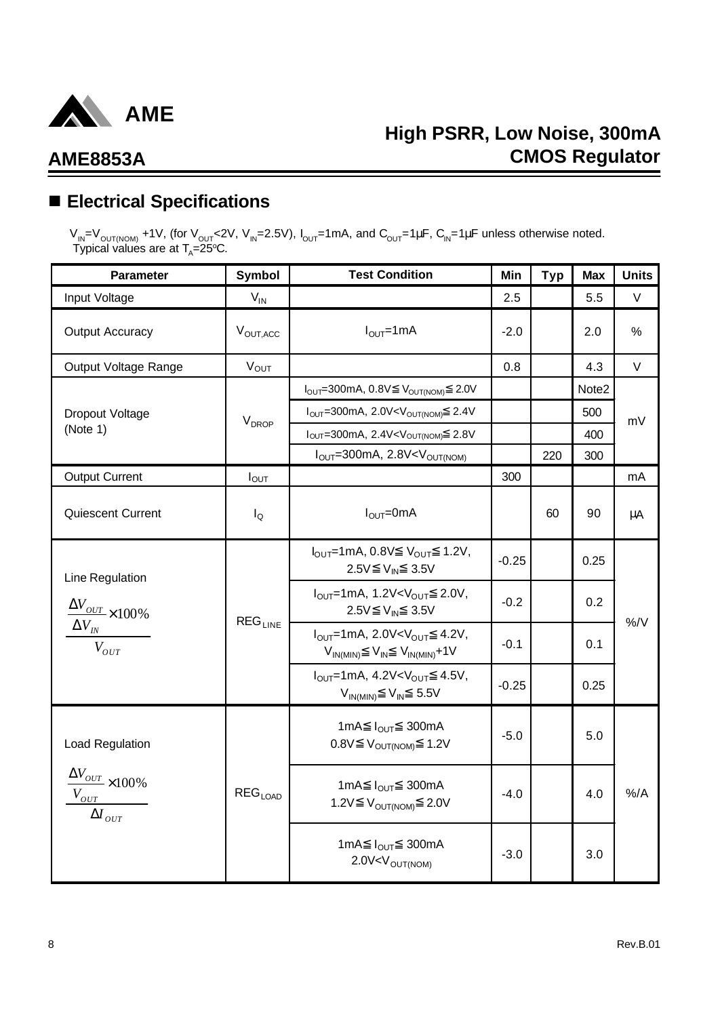

## n **Electrical Specifications**

 $V_{IN}$ = $V_{OUT(NOM)}$  +1V, (for V<sub>OUT</sub><2V, V<sub>IN</sub>=2.5V), I<sub>OUT</sub>=1mA, and C<sub>OUT</sub>=1μF, C<sub>IN</sub>=1μF unless otherwise noted. Typical values are at  $T_{\text{\tiny A}}$ =25°C.

| <b>Parameter</b>                                                                             | Symbol                       | <b>Test Condition</b>                                                                                                      | Min     | <b>Typ</b> | <b>Max</b> | <b>Units</b> |
|----------------------------------------------------------------------------------------------|------------------------------|----------------------------------------------------------------------------------------------------------------------------|---------|------------|------------|--------------|
| Input Voltage                                                                                | $V_{IN}$                     |                                                                                                                            | 2.5     |            | 5.5        | V            |
| <b>Output Accuracy</b>                                                                       | V <sub>OUT, ACC</sub>        | $I_{\text{OUT}}$ =1mA                                                                                                      | $-2.0$  |            | 2.0        | $\%$         |
| Output Voltage Range                                                                         | $V_{OUT}$                    |                                                                                                                            | 0.8     |            | 4.3        | V            |
|                                                                                              |                              | 2.0V<br>$I_{\text{OUT}}=300\text{mA}, 0.8\text{V}$ $V_{\text{OUT(NOM)}}$                                                   |         |            | Note2      |              |
| Dropout Voltage                                                                              | <b>V</b> <sub>DROP</sub>     | $I_{OUT} = 300 \text{mA}, 2.0 \text{V} < V_{OUT(NOM)}$ 2.4V                                                                |         |            | 500        | mV           |
| (Note 1)                                                                                     |                              | $I_{OUT}$ =300mA, 2.4V <v<sub>OUT(NOM) 2.8V</v<sub>                                                                        |         |            | 400        |              |
|                                                                                              |                              | $I_{OUT} = 300mA$ , 2.8V < $V_{OUT(NOM)}$                                                                                  |         | 220        | 300        |              |
| <b>Output Current</b>                                                                        | $I_{OUT}$                    |                                                                                                                            | 300     |            |            | mA           |
| Quiescent Current                                                                            | $I_{\mathsf{Q}}$             | $IOUT=0mA$                                                                                                                 |         | 60         | 90         | $\mu$ A      |
| Line Regulation                                                                              |                              | $I_{\text{OUT}}$ =1mA, 0.8V $V_{\text{OUT}}$ 1.2V,<br>2.5V V <sub>IN</sub> 3.5V                                            | $-0.25$ |            | 0.25       |              |
| $\frac{\Delta V_{OUT}}{\Delta V_{OUT}}\times 100\%$                                          |                              | $I_{\text{OUT}}$ =1mA, 1.2V <v<sub>OUT 2.0V,<br/>2.5V V<sub>IN</sub> 3.5V</v<sub>                                          | $-0.2$  |            | 0.2        | $\%$ /V      |
| $\Delta V_{\text{IN}}$<br>$V_{OUT}$                                                          | $\mathsf{REG}_\mathsf{LINE}$ | $I_{OUT}$ =1mA, 2.0V <v<sub>OUT 4.2V,<br/><math>V_{IN(MIN)}</math> <math>V_{IN}</math> <math>V_{IN(MIN)}+1V</math></v<sub> | $-0.1$  |            | 0.1        |              |
|                                                                                              |                              | $I_{OUT}$ =1mA, 4.2V <v<sub>OUT 4.5V,<br/><math>V_{IN(MIN)}</math> <math>V_{IN}</math> 5.5V</v<sub>                        | $-0.25$ |            | 0.25       |              |
| Load Regulation                                                                              |                              | 1mA $I_{\text{OUT}}$ 300mA<br>$0.8V$ $V_{OUT(NOM)}$ 1.2V                                                                   | $-5.0$  |            | 5.0        |              |
| $\frac{\Delta V_{OUT}}{\Delta V_{OUT}} \times 100\%$<br>$V_{OUT}$<br>$\Delta I_{\text{OUT}}$ | $REG_{LOAD}$                 | 1mA $I_{\text{OUT}}$ 300mA<br>1.2V $V_{OUT(NOM)}$ 2.0V                                                                     | $-4.0$  |            | 4.0        | $%$ /A       |
|                                                                                              |                              | 1mA $I_{OUT}$ 300mA<br>$2.0V < V_{OUT(NOM)}$                                                                               | $-3.0$  |            | 3.0        |              |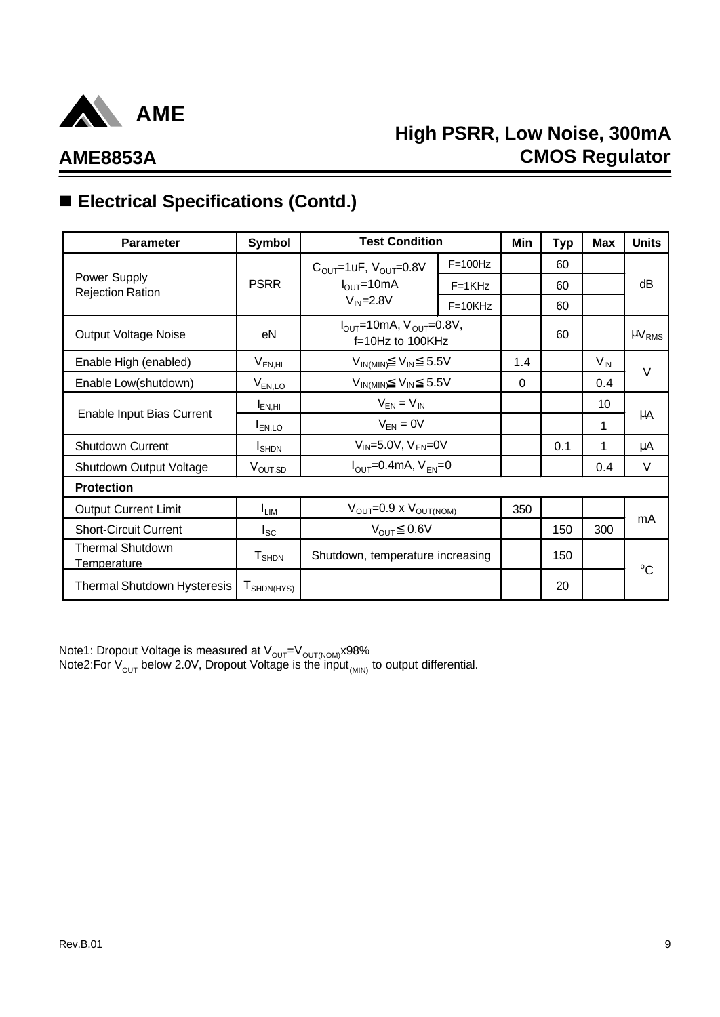

## **High PSRR, Low Noise, 300mA CMOS Regulator**

# ■ Electrical Specifications (Contd.)

| <b>Parameter</b>                              | <b>Symbol</b>               | <b>Test Condition</b>                                                 |            | Min | Typ | <b>Max</b>        | <b>Units</b>           |
|-----------------------------------------------|-----------------------------|-----------------------------------------------------------------------|------------|-----|-----|-------------------|------------------------|
|                                               |                             | $C_{\text{OUT}}$ =1uF, $V_{\text{OUT}}$ =0.8V                         | $F=100Hz$  |     | 60  |                   |                        |
| Power Supply<br><b>Rejection Ration</b>       | <b>PSRR</b>                 | $I_{\text{OUT}} = 10 \text{mA}$                                       | $F = 1KHz$ |     | 60  |                   | dΒ                     |
|                                               |                             | $V_{IN} = 2.8V$                                                       | $F=10KHz$  |     | 60  |                   |                        |
| Output Voltage Noise                          | eN                          | $I_{\text{OUT}}$ =10mA, $V_{\text{OUT}}$ =0.8V,<br>$f=10Hz$ to 100KHz |            |     | 60  |                   | $\mu$ V <sub>RMS</sub> |
| Enable High (enabled)                         | $V_{EN,HI}$                 | $V_{IN(MIN)}$ $V_{IN}$ 5.5V                                           |            | 1.4 |     | $V_{\mathsf{IN}}$ | $\vee$                 |
| Enable Low(shutdown)                          | $V_{EN,LO}$                 | $V_{IN(MIN)}$ $V_{IN}$ 5.5V                                           |            | 0   |     | 0.4               |                        |
|                                               | $I_{EN,HI}$                 | $V_{EN} = V_{IN}$                                                     |            |     |     | 10                |                        |
| Enable Input Bias Current                     | I <sub>EN,LO</sub>          | $V_{EN} = 0V$                                                         |            |     |     | 1                 | μA                     |
| <b>Shutdown Current</b>                       | <b>I</b> SHDN               | $V_{IN} = 5.0V$ , $V_{EN} = 0V$                                       |            |     | 0.1 | 1                 | μA                     |
| Shutdown Output Voltage                       | V <sub>OUT,SD</sub>         | $I_{\text{OUT}} = 0.4 \text{mA}, V_{\text{FN}} = 0$                   |            |     |     | 0.4               | $\vee$                 |
| <b>Protection</b>                             |                             |                                                                       |            |     |     |                   |                        |
| <b>Output Current Limit</b>                   | <sup>I</sup> LIM            | $V_{\text{OUT}} = 0.9 \times V_{\text{OUT(NOM)}}$                     |            | 350 |     |                   |                        |
| <b>Short-Circuit Current</b>                  | $I_{SC}$                    | $V_{OUT}$ 0.6V                                                        |            |     | 150 | 300               | mA                     |
| <b>Thermal Shutdown</b><br><b>Temperature</b> | ${\mathsf T}_{\text{SHDN}}$ | Shutdown, temperature increasing                                      |            |     | 150 |                   | $^{\circ}C$            |
| <b>Thermal Shutdown Hysteresis</b>            | $I_{SHDN(HYS)}$             |                                                                       |            |     | 20  |                   |                        |

Note1: Dropout Voltage is measured at V<sub>ouT</sub>=V<sub>ouT(NOM)</sub>x98% Note2:For  $\rm V_{\rm OUT}$  below 2.0V, Dropout Voltage is the input $_{\rm (MIN)}$  to output differential.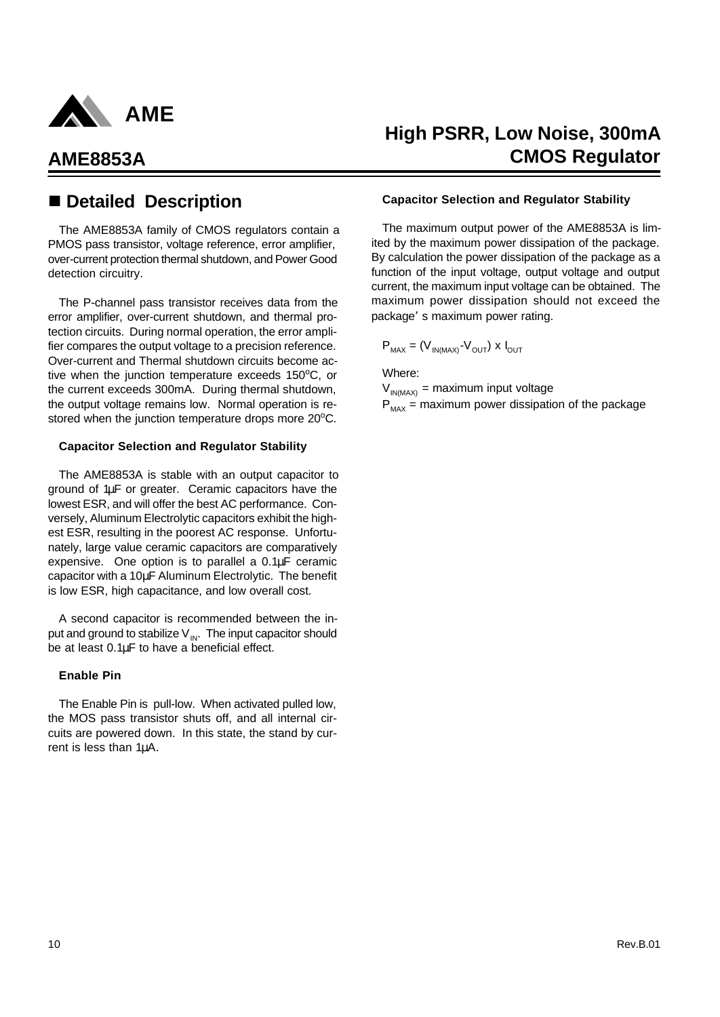

The AME8853A family of CMOS regulators contain a PMOS pass transistor, voltage reference, error amplifier, over-current protection thermal shutdown, and Power Good detection circuitry.

The P-channel pass transistor receives data from the error amplifier, over-current shutdown, and thermal protection circuits. During normal operation, the error amplifier compares the output voltage to a precision reference. Over-current and Thermal shutdown circuits become active when the junction temperature exceeds  $150^{\circ}$ C, or the current exceeds 300mA. During thermal shutdown, the output voltage remains low. Normal operation is restored when the junction temperature drops more 20°C.

### **Capacitor Selection and Regulator Stability**

The AME8853A is stable with an output capacitor to ground of 1μF or greater. Ceramic capacitors have the lowest ESR, and will offer the best AC performance. Conversely, Aluminum Electrolytic capacitors exhibit the highest ESR, resulting in the poorest AC response. Unfortunately, large value ceramic capacitors are comparatively expensive. One option is to parallel a 0.1μF ceramic capacitor with a 10μF Aluminum Electrolytic. The benefit is low ESR, high capacitance, and low overall cost.

A second capacitor is recommended between the input and ground to stabilize  $V_{\text{IN}}$ . The input capacitor should be at least 0.1μF to have a beneficial effect.

### **Enable Pin**

The Enable Pin is pull-low. When activated pulled low, the MOS pass transistor shuts off, and all internal circuits are powered down. In this state, the stand by current is less than 1μA.

## **High PSRR, Low Noise, 300mA AME8853A CMOS Regulator**

### ■ Detailed Description **betailed Description Capacitor Selection and Regulator Stability**

The maximum output power of the AME8853A is limited by the maximum power dissipation of the package. By calculation the power dissipation of the package as a function of the input voltage, output voltage and output current, the maximum input voltage can be obtained. The maximum power dissipation should not exceed the package's maximum power rating.

$$
P_{MAX} = (V_{IN(MAX)} - V_{OUT}) \times I_{OUT}
$$

Where:

 $V_{IN(MAX)}$  = maximum input voltage  $P_{\text{max}}$  = maximum power dissipation of the package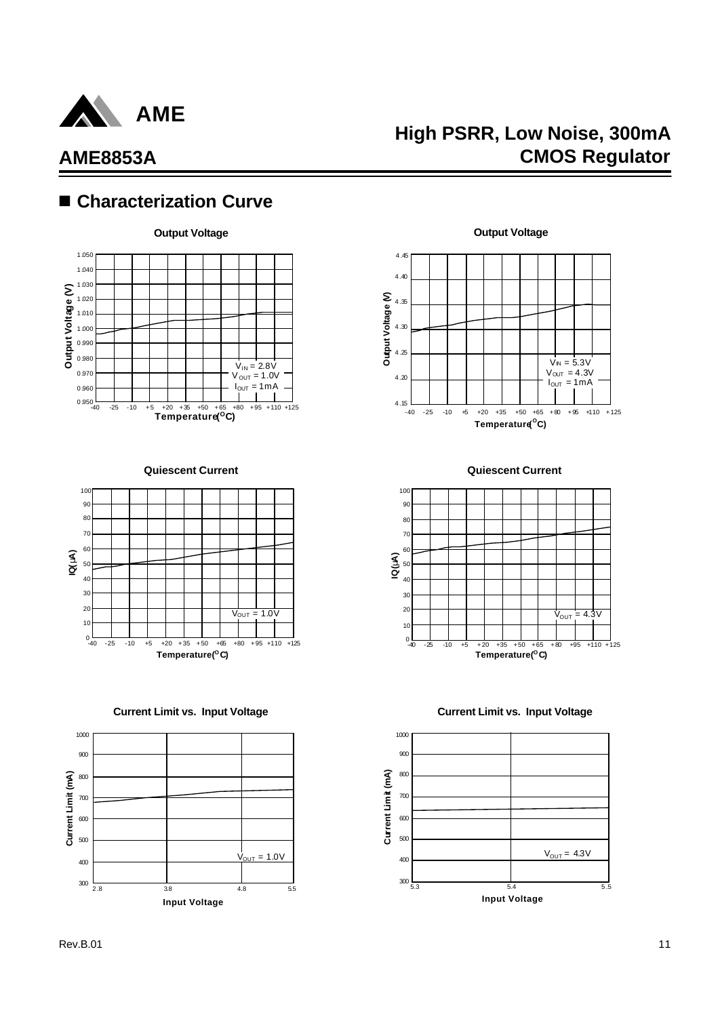

## **High PSRR, Low Noise, 300mA CMOS Regulator**

## ■ Characterization Curve



**Quiescent Current**



**Current Limit vs. Input Voltage**



**Quiescent Current**

-40 -25 -10 +5 +20 +35 +50 +65 +80 +95 +110 +125 **Temperature( <sup>O</sup>C)**

 $V_{\text{IN}} = 5.3V$  $V_{OUT} = 4.3V$  $I_{OUT} = 1mA$ 

4 .15

 $4.20$ 

4 .25

4 .30

**Output Voltage (V)**

Output Voltage (V)

4 .35

 $4.40$ 4 .45



**Current Limit vs. Input Voltage**

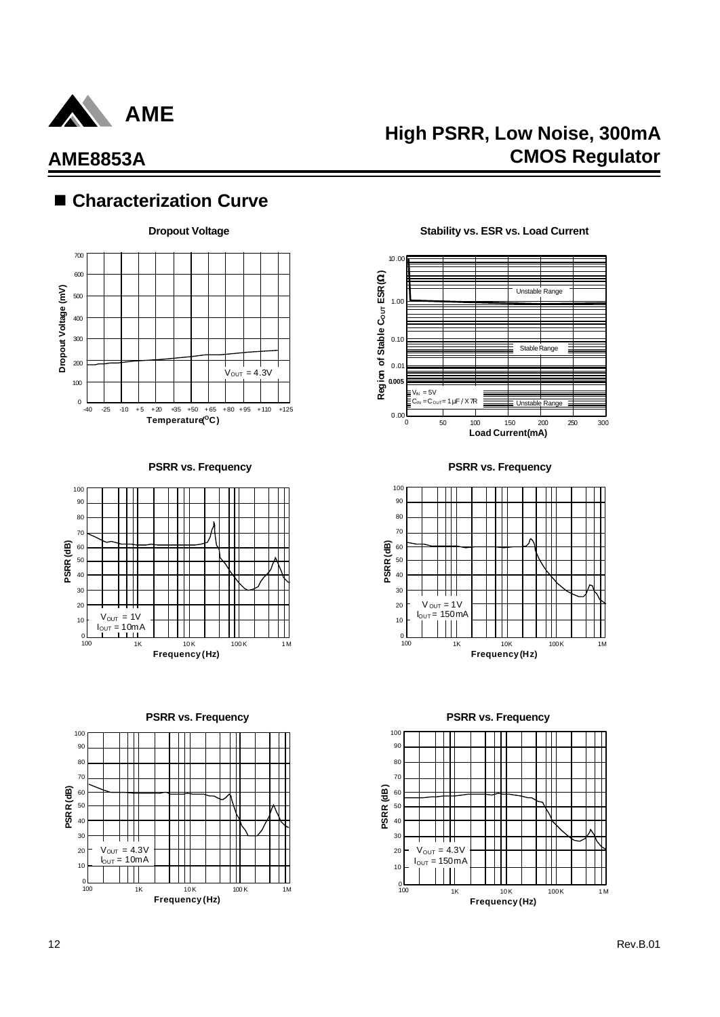

## ■ Characterization Curve







**Dropout Voltage Construction Constrainers** Stability vs. ESR vs. Load Current



**PSRR vs. Frequency PSRR vs. Frequency**



**PSRR vs. Frequency PSRR vs. Frequency**

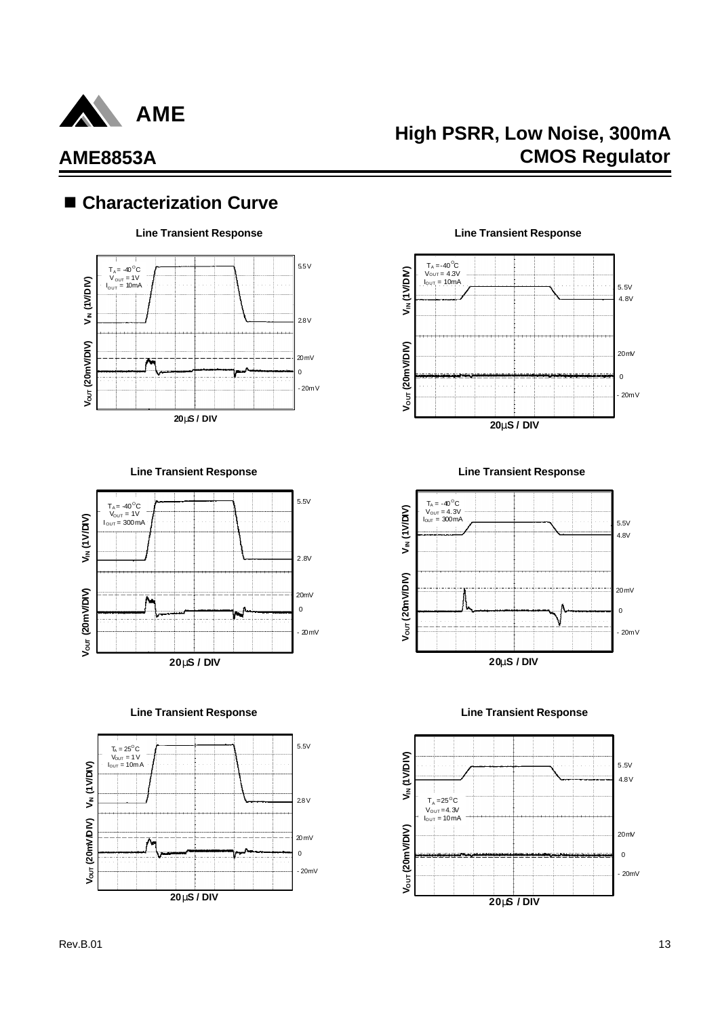

## **High PSRR, Low Noise, 300mA CMOS Regulator**

## ■ Characterization Curve



**Line Transient Response Line Transient Response**



**Line Transient Response Line Transient Response**



 $T_A = -40$ <sup>o</sup>C  $V_{\text{OUT}} = 4.3V$ <br> $I_{\text{OUT}} = 10 \text{mA}$ 



**Line Transient Response Line Transient Response**



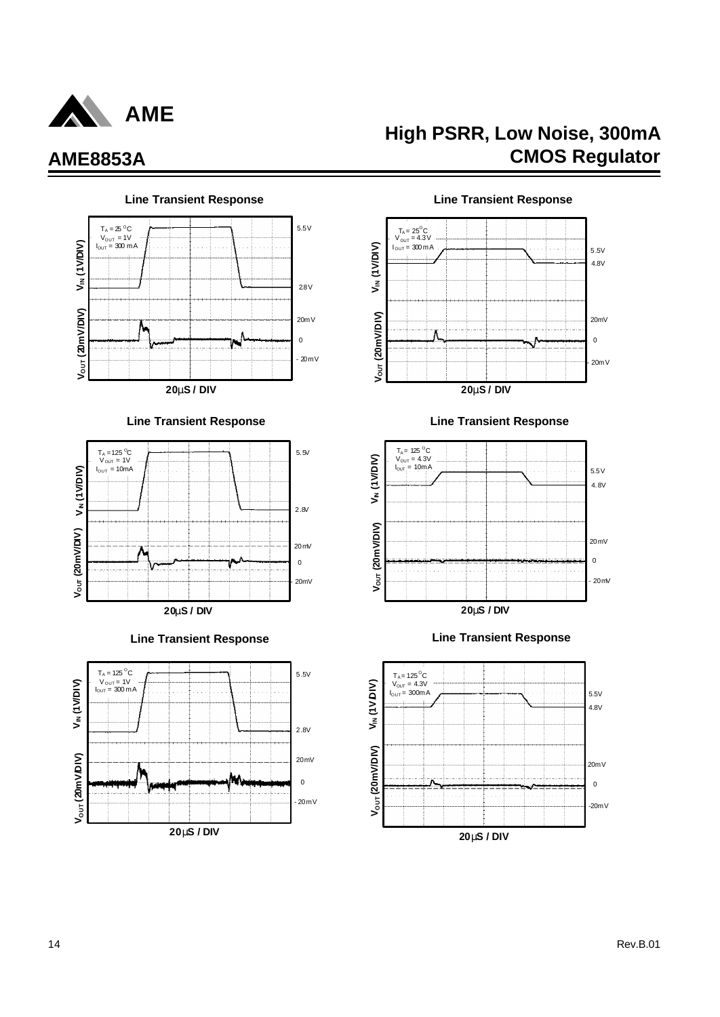

### **Line Transient Response Line Transient Response** 5.5V  $T_A = 25$  <sup>o</sup>C V<sub>OUT</sub> = 1V<br>I<sub>OUT</sub> = 300 m A **VIN (1V/DIV)** 2.8V **V/DIV)** 20mV ٨  $\mathbf{0}$ **VOUT (20m**  $-20mV$ **20mS / DIV**

### **Line Transient Response Line Transient Response**







## **High PSRR, Low Noise, 300mA AME8853A CMOS Regulator**



## **20mS / DIV**





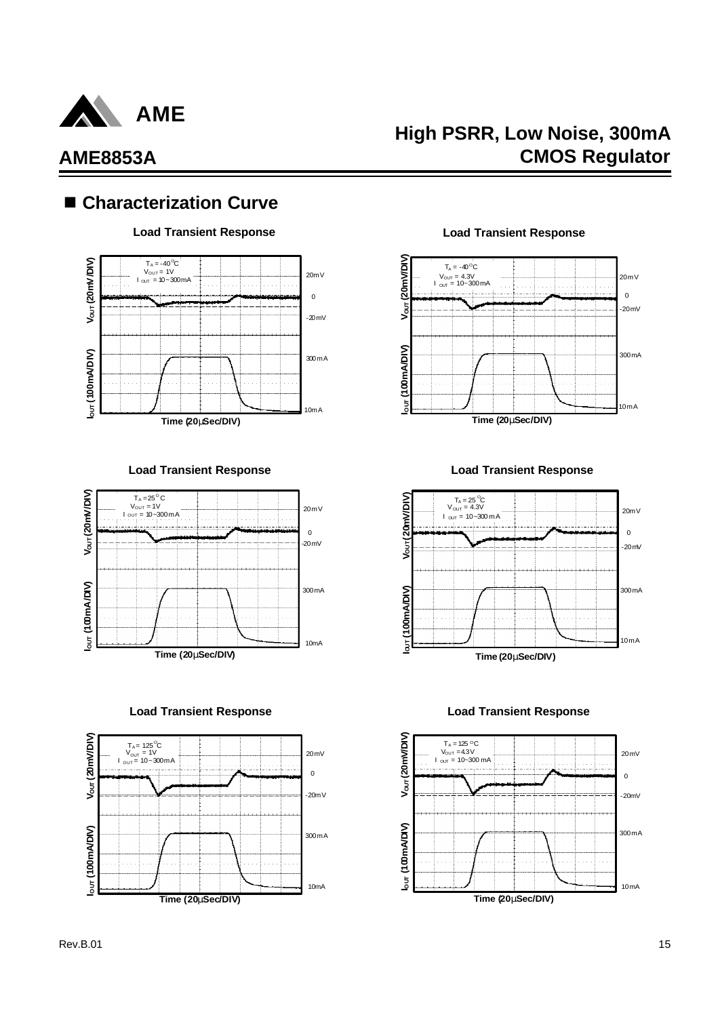

## ■ Characterization Curve

### **Load Transient Response Load Transient Response**



**Load Transient Response Load Transient Response**



**Load Transient Response Load Transient Response**



## **High PSRR, Low Noise, 300mA CMOS Regulator**





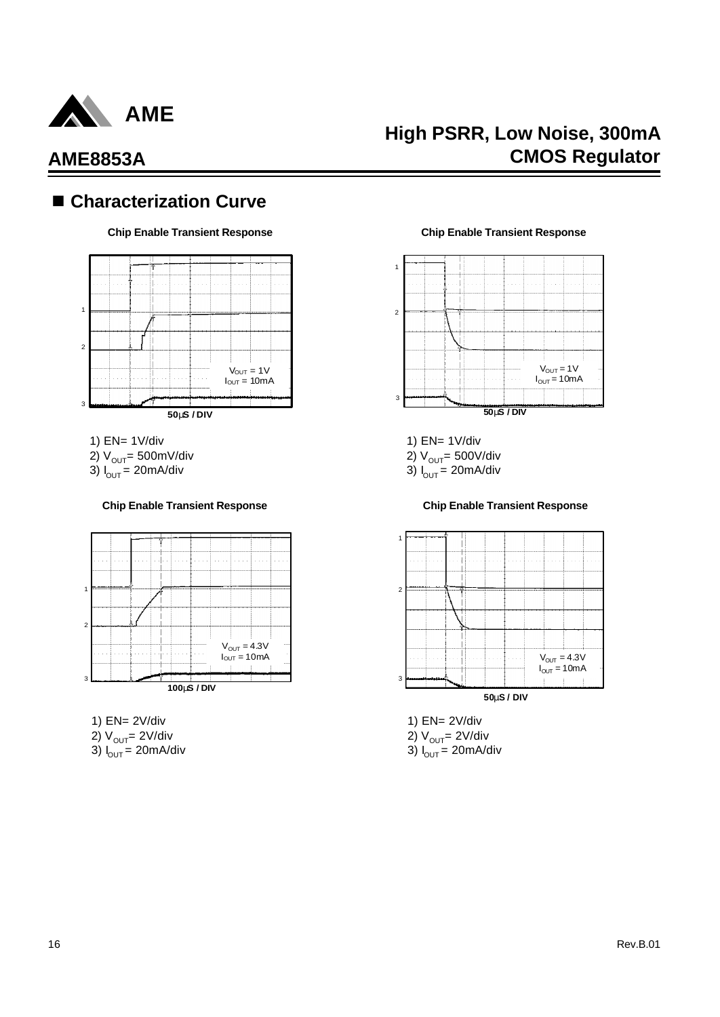

## ■ Characterization Curve



- 1) EN= 1V/div
- 2)  $V_{\text{OUT}}$ = 500mV/div
- 3)  $I_{OUT} = 20 \text{mA/div}$

### **Chip Enable Transient Response Chip Enable Transient Response**



- 1) EN= 2V/div 2)  $V_{OUT} = 2V/div$
- 3)  $I_{\text{OUT}} = 20 \text{mA/div}$

### **Chip Enable Transient Response Chip Enable Transient Response**



1) EN= 1V/div

2)  $V_{OUT}$ = 500V/div

3)  $I_{OUT} = 20 \text{mA/div}$ 



1) EN= 2V/div 2)  $V_{OUT} = 2V/div$ 3)  $I_{\text{OUT}} = 20 \text{mA/div}$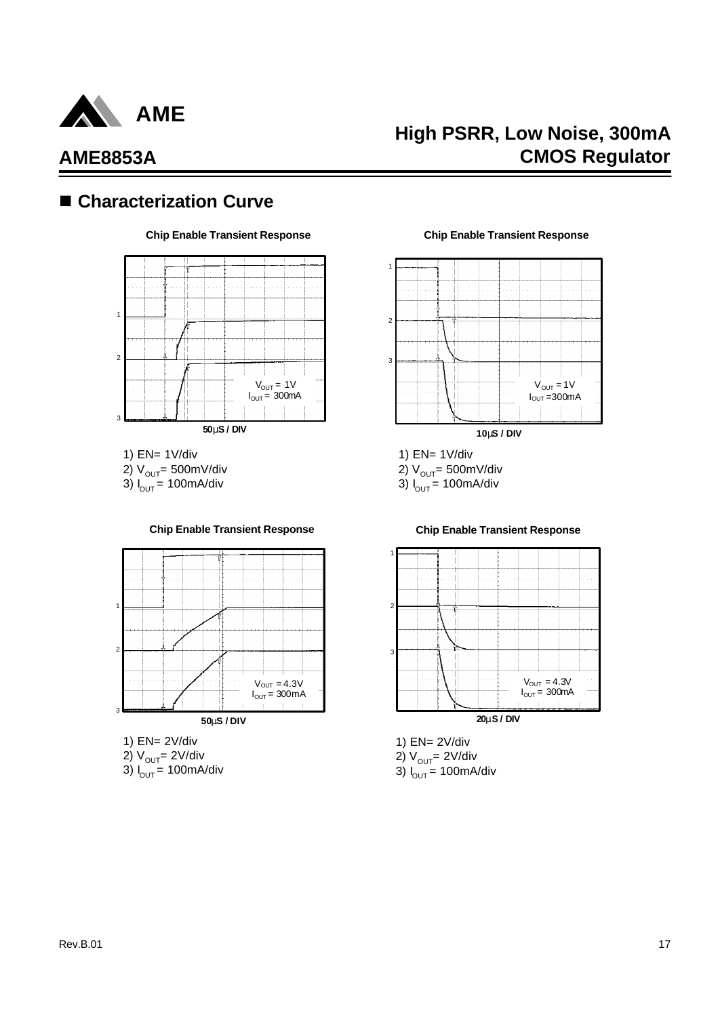

## **High PSRR, Low Noise, 300mA CMOS Regulator**

## ■ Characterization Curve

### **Chip Enable Transient Response Chip Enable Transient Response**



1) EN= 1V/div 2)  $V_{OUT}$ = 500mV/div 3)  $I_{OUT} = 100 \text{mA/div}$ 



### **Chip Enable Transient Response Chip Enable Transient Response**

1) EN= 2V/div 2)  $V_{OUT} = 2V/div$ 

3)  $I_{\text{OUT}} = 100 \text{mA/div}$ 



- 1) EN= 1V/div
- 2)  $V_{OUT}$ = 500mV/div

3)  $I_{OUT} = 100$ mA/div



1) EN= 2V/div 2) V<sub>out</sub>= 2V/div 3) I<sub>out</sub> = 100mA/div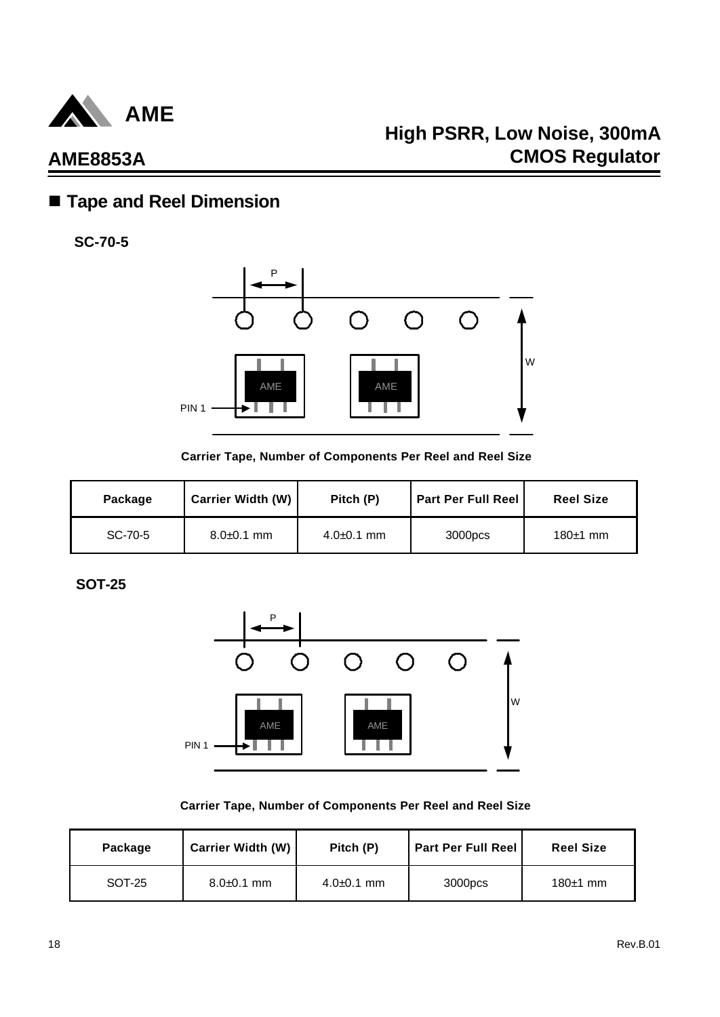

## n **Tape and Reel Dimension**

**SC-70-5**



**Carrier Tape, Number of Components Per Reel and Reel Size**

| Package | <b>Carrier Width (W)</b> | Pitch (P)      | <b>Part Per Full Reel</b> | <b>Reel Size</b> |
|---------|--------------------------|----------------|---------------------------|------------------|
| SC-70-5 | $8.0 + 0.1$ mm           | $4.0 + 0.1$ mm | 3000pcs                   | $180±1$ mm       |

**SOT-25**



**Carrier Tape, Number of Components Per Reel and Reel Size**

| Package | <b>Carrier Width (W)</b> | Pitch (P)      | <b>Part Per Full Reel</b> | <b>Reel Size</b> |
|---------|--------------------------|----------------|---------------------------|------------------|
| SOT-25  | $8.0 + 0.1$ mm           | $4.0 + 0.1$ mm | 3000pcs                   | $180±1$ mm       |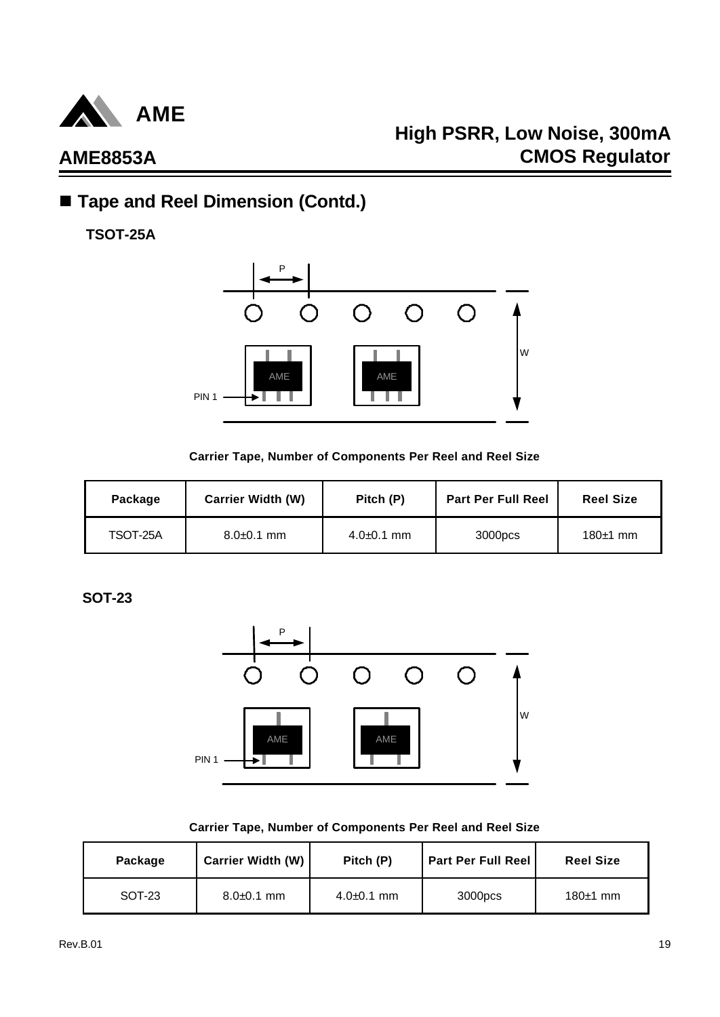

## **High PSRR, Low Noise, 300mA CMOS Regulator**

## ■ Tape and Reel Dimension (Contd.)

**TSOT-25A**



### **Carrier Tape, Number of Components Per Reel and Reel Size**

| Package  | <b>Carrier Width (W)</b> | Pitch (P)      | <b>Part Per Full Reel</b> | <b>Reel Size</b> |
|----------|--------------------------|----------------|---------------------------|------------------|
| TSOT-25A | $8.0\pm 0.1$ mm          | $4.0 + 0.1$ mm | 3000pcs                   | 180 $\pm$ 1 mm   |

**SOT-23**



### **Carrier Tape, Number of Components Per Reel and Reel Size**

| Package | <b>Carrier Width (W)</b> | Pitch (P)      | <b>Part Per Full Reel</b> | <b>Reel Size</b> |
|---------|--------------------------|----------------|---------------------------|------------------|
| SOT-23  | $8.0 + 0.1$ mm           | $4.0 + 0.1$ mm | 3000pcs                   | 180 $±1$ mm      |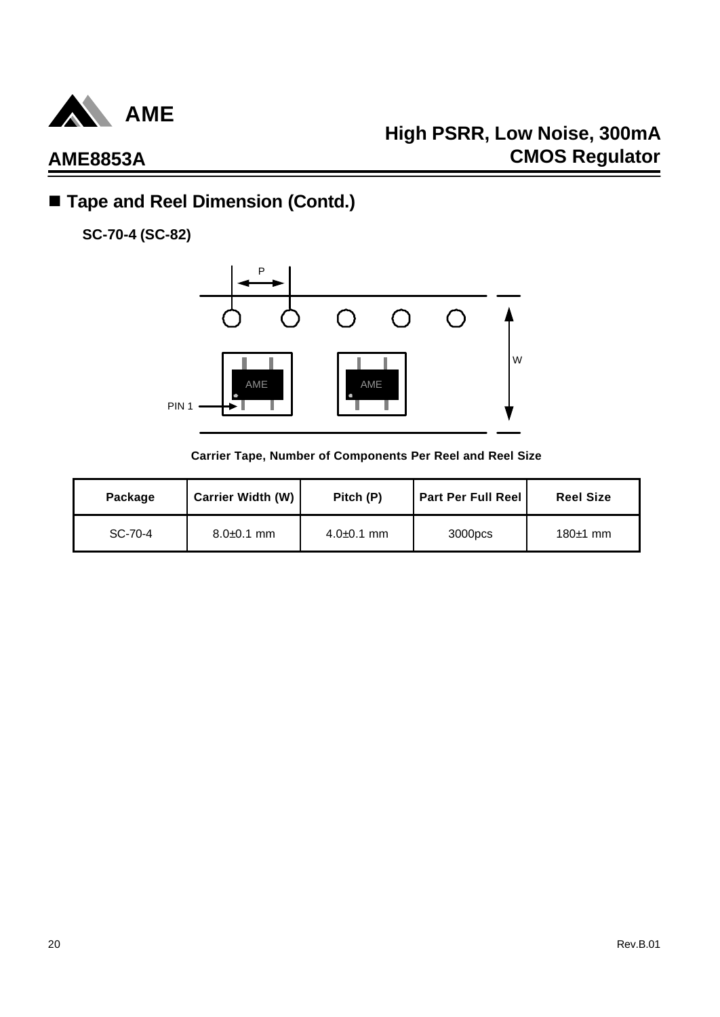

## ■ Tape and Reel Dimension (Contd.)

**SC-70-4 (SC-82)**



**Carrier Tape, Number of Components Per Reel and Reel Size**

| Package | Carrier Width (W) | Pitch (P)       | <b>Part Per Full Reel</b> | <b>Reel Size</b> |
|---------|-------------------|-----------------|---------------------------|------------------|
| SC-70-4 | $8.0\pm 0.1$ mm   | $4.0\pm 0.1$ mm | 3000pcs                   | $180±1$ mm       |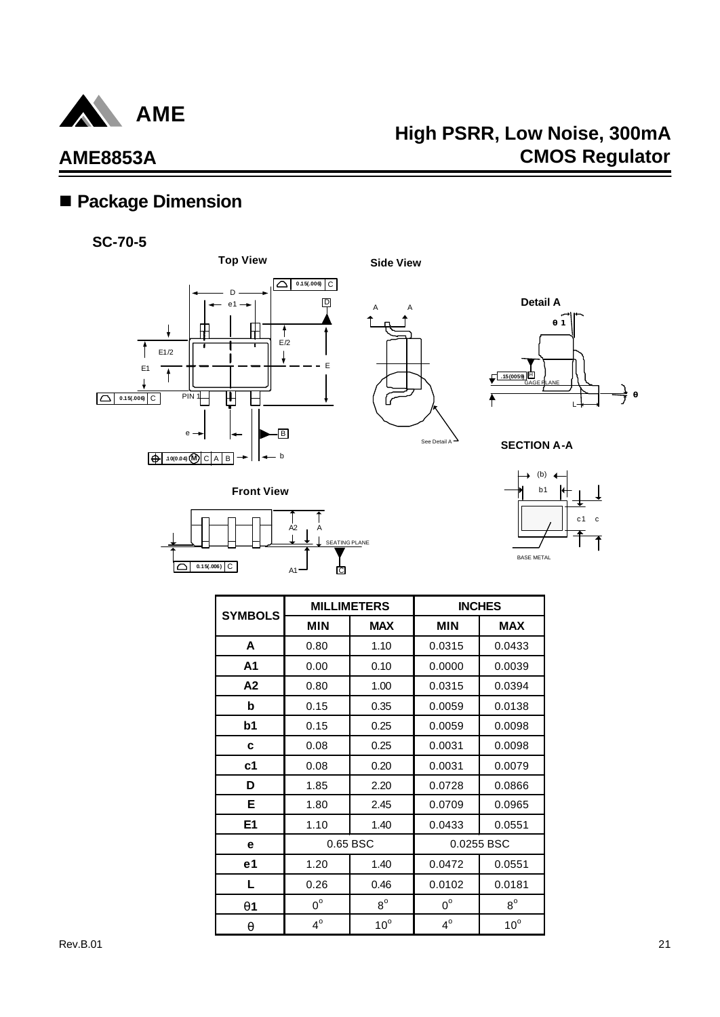

## **High PSRR, Low Noise, 300mA CMOS Regulator**

## ■ Package Dimension





**0.15(.006)** C



See Detail A



**SECTION A-A**



| <b>SYMBOLS</b> |             | <b>MILLIMETERS</b> |             | <b>INCHES</b> |
|----------------|-------------|--------------------|-------------|---------------|
|                | <b>MIN</b>  | <b>MAX</b>         | <b>MIN</b>  | <b>MAX</b>    |
| A              | 0.80        | 1.10               | 0.0315      | 0.0433        |
| A1             | 0.00        | 0.10               | 0.0000      | 0.0039        |
| A2             | 0.80        | 1.00               | 0.0315      | 0.0394        |
| b              | 0.15        | 0.35               | 0.0059      | 0.0138        |
| b <sub>1</sub> | 0.15        | 0.25               | 0.0059      | 0.0098        |
| C              | 0.08        | 0.25               | 0.0031      | 0.0098        |
| c <sub>1</sub> | 0.08        | 0.20               | 0.0031      | 0.0079        |
| D              | 1.85        | 2.20               | 0.0728      | 0.0866        |
| Е              | 1.80        | 2.45               | 0.0709      | 0.0965        |
| E <sub>1</sub> | 1.10        | 1.40               | 0.0433      | 0.0551        |
| е              |             | 0.65 BSC           |             | 0.0255 BSC    |
| e1             | 1.20        | 1.40               | 0.0472      | 0.0551        |
| L              | 0.26        | 0.46               | 0.0102      | 0.0181        |
| <b>q</b> 1     | $0^{\circ}$ | $8^{\circ}$        | $0^{\circ}$ | $8^{\circ}$   |
| $\mathbf q$    | $4^\circ$   | $10^{\circ}$       | $4^\circ$   | $10^{\circ}$  |

 $\frac{1}{\mathbb{C}}$ 

TING PLANE

 $A<sub>2</sub>$ 

A

A1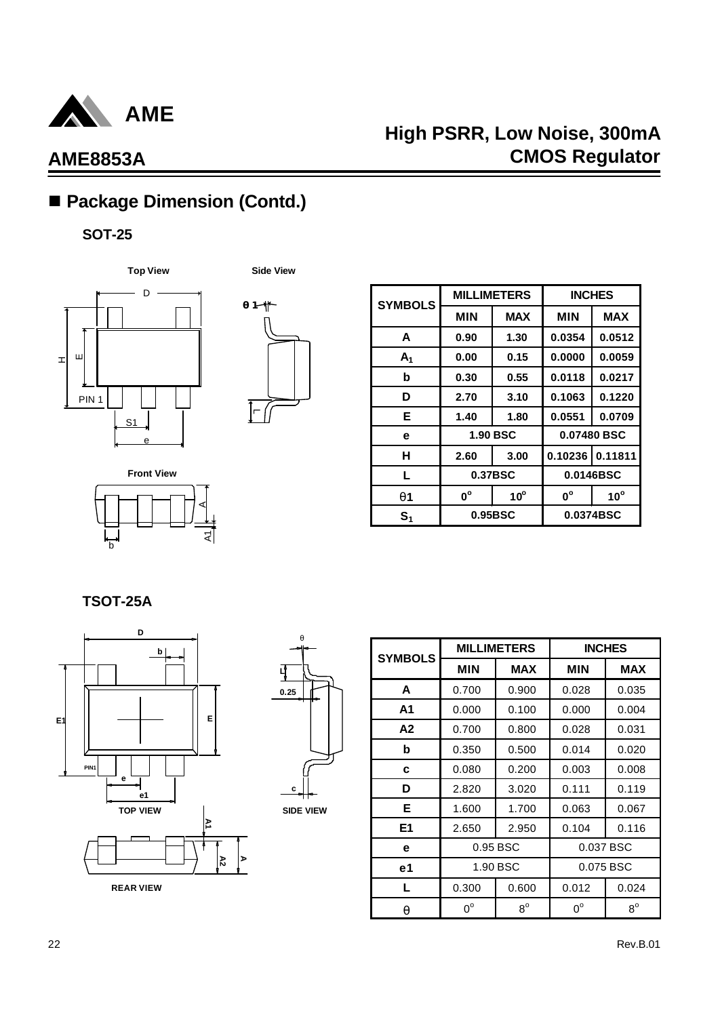

## ■ Package Dimension (Contd.)

### **SOT-25**





| <b>SYMBOLS</b> |             | <b>MILLIMETERS</b> | <b>INCHES</b>           |              |  |
|----------------|-------------|--------------------|-------------------------|--------------|--|
|                | <b>MIN</b>  | <b>MAX</b>         | <b>MIN</b>              | <b>MAX</b>   |  |
| A              | 0.90        | 1.30               | 0.0354                  | 0.0512       |  |
| A <sub>1</sub> | 0.00        | 0.15               | 0.0000                  | 0.0059       |  |
| b              | 0.30        | 0.55               | 0.0118                  | 0.0217       |  |
| D              | 2.70        | 3.10               | 0.1063                  | 0.1220       |  |
| Е              | 1.40        | 1.80               | 0.0551                  | 0.0709       |  |
| e              |             | <b>1.90 BSC</b>    | 0.07480 BSC             |              |  |
| н              | 2.60        | 3.00               | 0.10236                 | 0.11811      |  |
| L              |             | 0.37BSC            | 0.0146BSC               |              |  |
| <b>q</b> 1     | $0^{\circ}$ | $10^{\circ}$       | $\mathbf{0}^{\text{o}}$ | $10^{\circ}$ |  |
| S <sub>1</sub> |             | 0.95BSC            |                         | 0.0374BSC    |  |

**Front View** হ। b A

**TSOT-25A**





**SIDE VIEW**

| <b>SYMBOLS</b> |             | <b>MILLIMETERS</b> | <b>INCHES</b> |             |  |
|----------------|-------------|--------------------|---------------|-------------|--|
|                | <b>MIN</b>  | <b>MAX</b>         | <b>MIN</b>    | <b>MAX</b>  |  |
| A              | 0.700       | 0.900              | 0.028         | 0.035       |  |
| A1             | 0.000       | 0.100              | 0.000         | 0.004       |  |
| A2             | 0.700       | 0.800              | 0.028         | 0.031       |  |
| b              | 0.350       | 0.500              | 0.014         | 0.020       |  |
| c              | 0.080       | 0.200              | 0.003         | 0.008       |  |
| D              | 2.820       | 3.020              | 0.111         | 0.119       |  |
| Е              | 1.600       | 1.700              | 0.063         | 0.067       |  |
| E <sub>1</sub> | 2.650       | 2.950              | 0.104         | 0.116       |  |
| е              |             | 0.95 BSC           | 0.037 BSC     |             |  |
| e1             |             | 1.90 BSC           |               | 0.075 BSC   |  |
| L              | 0.300       | 0.600              | 0.012         | 0.024       |  |
| q              | $0^{\circ}$ | $8^{\circ}$        | $0^{\circ}$   | $8^{\circ}$ |  |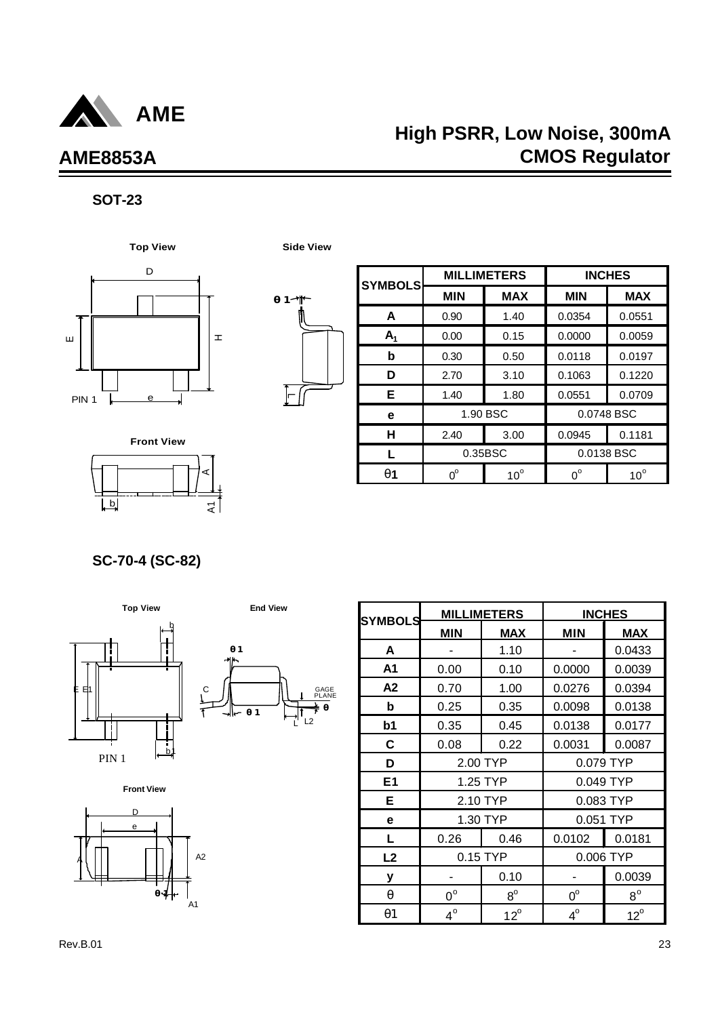

## **High PSRR, Low Noise, 300mA CMOS Regulator**

## **SOT-23**





| <b>SYMBOLS</b> |             | <b>MILLIMETERS</b> | <b>INCHES</b> |              |  |
|----------------|-------------|--------------------|---------------|--------------|--|
|                | <b>MIN</b>  | <b>MAX</b>         | <b>MIN</b>    | <b>MAX</b>   |  |
| A              | 0.90        | 1.40               | 0.0354        | 0.0551       |  |
| $A_1$          | 0.00        | 0.15               | 0.0000        | 0.0059       |  |
| b              | 0.30        | 0.50               | 0.0118        | 0.0197       |  |
| D              | 2.70        | 3.10               | 0.1063        | 0.1220       |  |
| Е              | 1.40        | 1.80               | 0.0551        | 0.0709       |  |
| е              |             | 1.90 BSC           | 0.0748 BSC    |              |  |
| н              | 2.40        | 3.00               | 0.0945        | 0.1181       |  |
|                | 0.35BSC     |                    | 0.0138 BSC    |              |  |
| <b>q1</b>      | $0^{\circ}$ | $10^{\circ}$       | $0^{\circ}$   | $10^{\circ}$ |  |

 $b$ A $\overline{\mathbf{z}}$ **Front View**

**SC-70-4 (SC-82)**







| <b>SYMBOLS</b> |             | <b>MILLIMETERS</b> | <b>INCHES</b> |              |  |
|----------------|-------------|--------------------|---------------|--------------|--|
|                | <b>MIN</b>  | <b>MAX</b>         | <b>MIN</b>    | <b>MAX</b>   |  |
| A              |             | 1.10               |               | 0.0433       |  |
| A <sub>1</sub> | 0.00        | 0.10               | 0.0000        | 0.0039       |  |
| A2             | 0.70        | 1.00               | 0.0276        | 0.0394       |  |
| b              | 0.25        | 0.35               | 0.0098        | 0.0138       |  |
| b <sub>1</sub> | 0.35        | 0.45               | 0.0138        | 0.0177       |  |
| C              | 0.08        | 0.22               | 0.0031        | 0.0087       |  |
| D              |             | 2.00 TYP           | 0.079 TYP     |              |  |
| E1             |             | 1.25 TYP           | 0.049 TYP     |              |  |
| E              |             | 2.10 TYP           | 0.083 TYP     |              |  |
| е              |             | 1.30 TYP           | 0.051 TYP     |              |  |
| Г              | 0.26        | 0.46               | 0.0102        | 0.0181       |  |
| L2             |             | 0.15 TYP           | 0.006 TYP     |              |  |
| у              |             | 0.10               |               | 0.0039       |  |
| q              | $0^{\circ}$ | $8^{\circ}$        | $0^{\circ}$   | $8^{\circ}$  |  |
| q1             | $4^\circ$   | $12^{\circ}$       | $4^\circ$     | $12^{\circ}$ |  |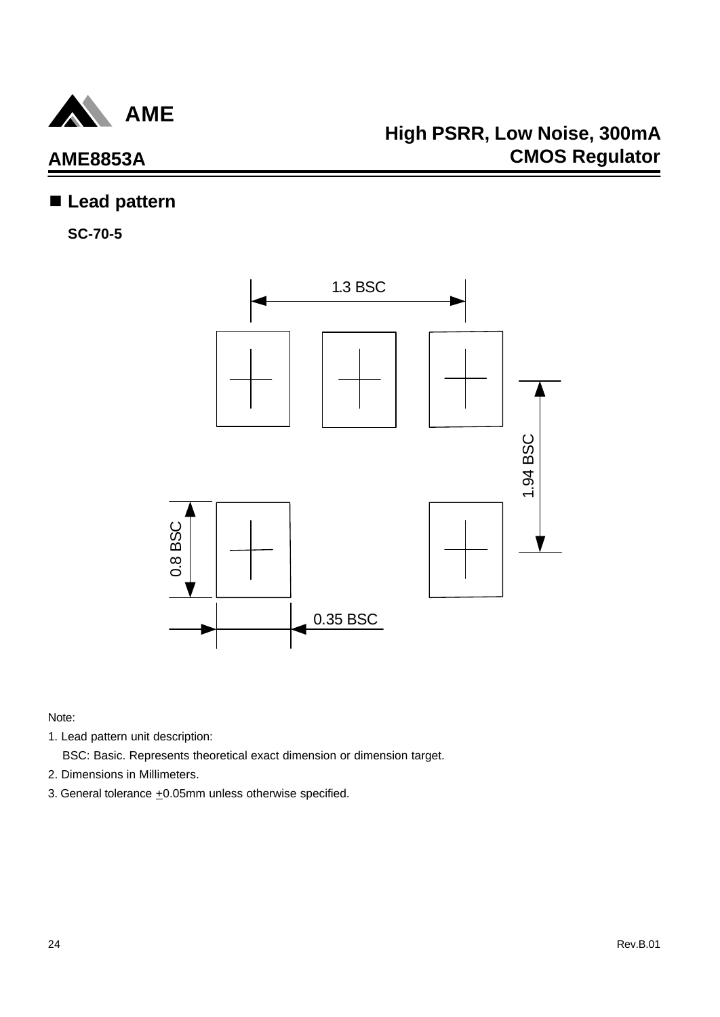

## n **Lead pattern**

**SC-70-5**



- 1. Lead pattern unit description:
	- BSC: Basic. Represents theoretical exact dimension or dimension target.
- 2. Dimensions in Millimeters.
- 3. General tolerance  $\pm 0.05$ mm unless otherwise specified.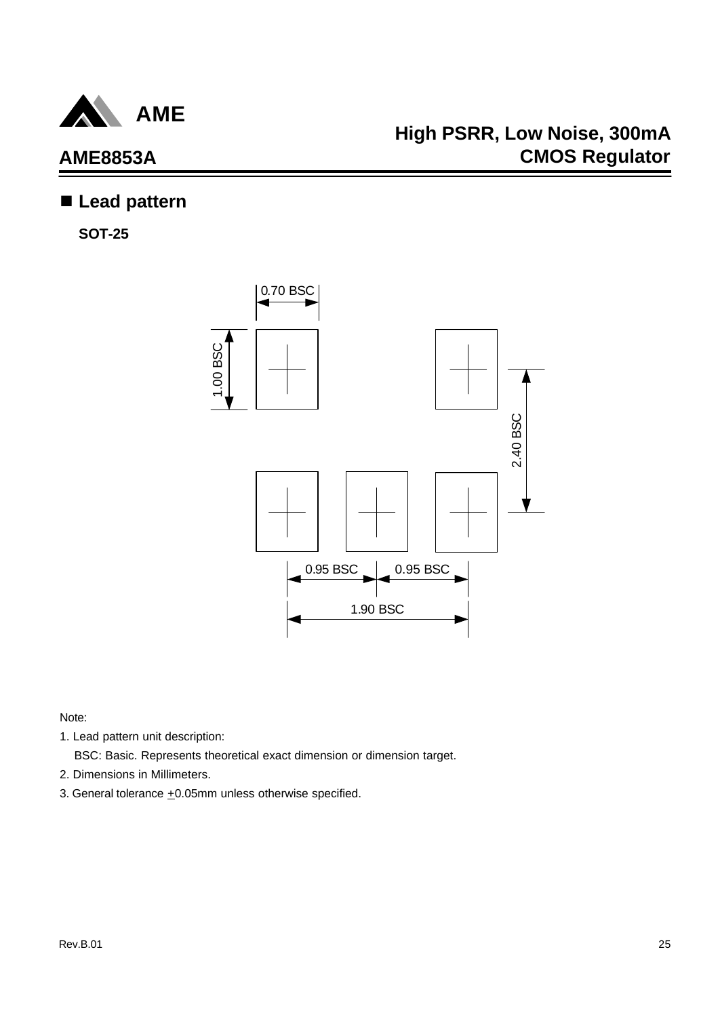

## **High PSRR, Low Noise, 300mA CMOS Regulator**

## n **Lead pattern**

**SOT-25**



- 1. Lead pattern unit description:
	- BSC: Basic. Represents theoretical exact dimension or dimension target.
- 2. Dimensions in Millimeters.
- 3. General tolerance  $\pm 0.05$ mm unless otherwise specified.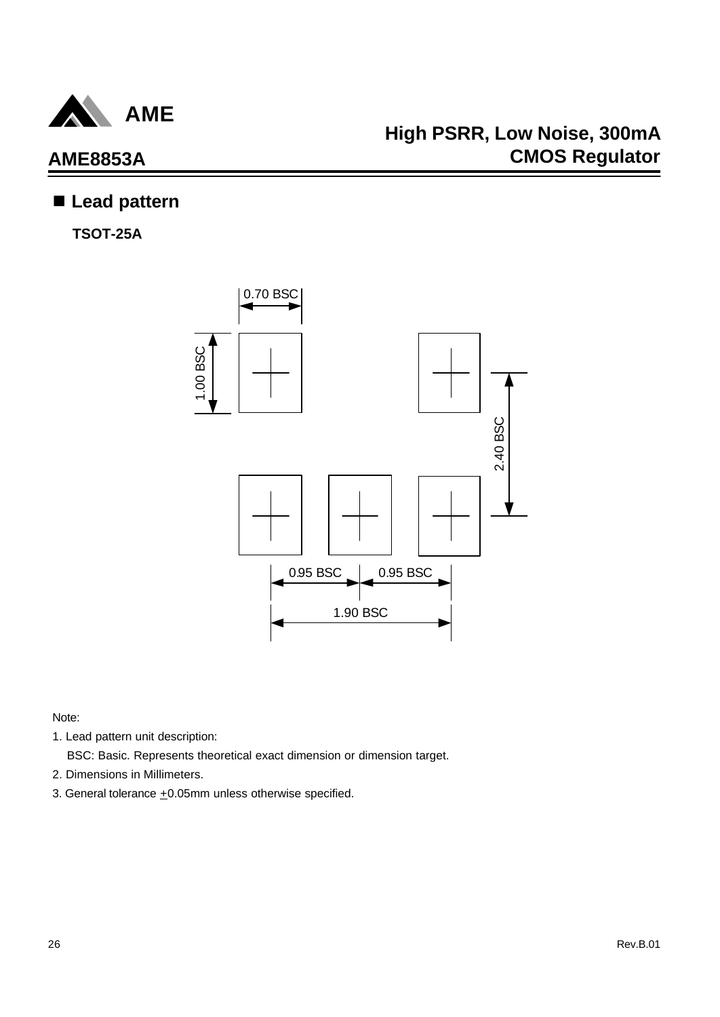

## n **Lead pattern**

**TSOT-25A**



- 1. Lead pattern unit description:
	- BSC: Basic. Represents theoretical exact dimension or dimension target.
- 2. Dimensions in Millimeters.
- 3. General tolerance  $\pm 0.05$ mm unless otherwise specified.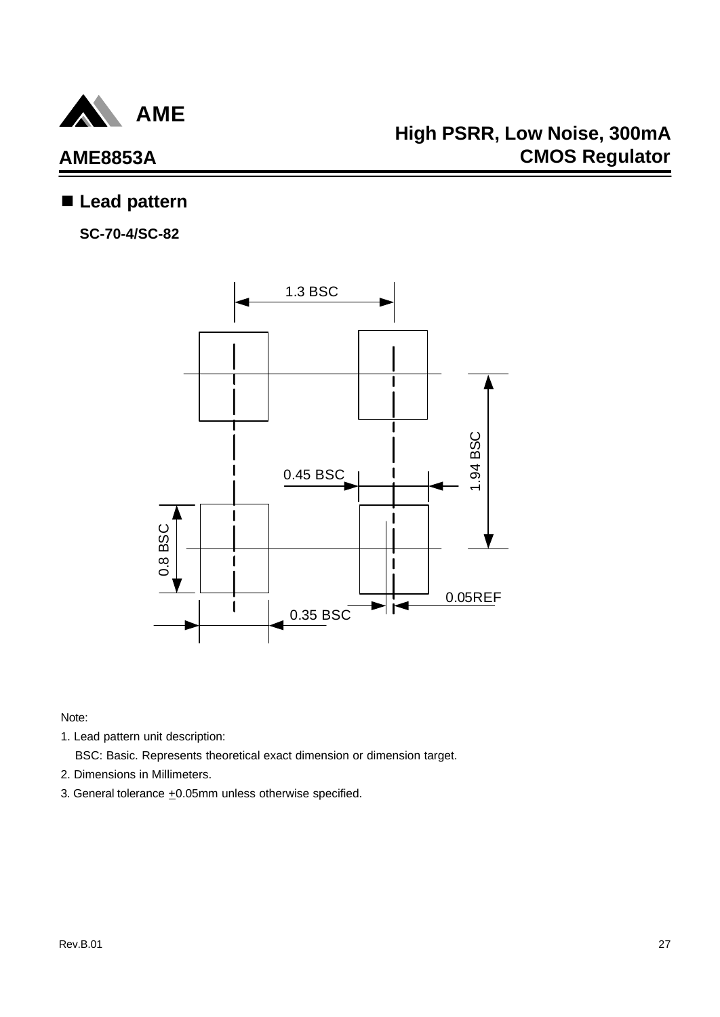

## **AME8853A**

## n **Lead pattern**

**SC-70-4/SC-82**



Note:

1. Lead pattern unit description:

BSC: Basic. Represents theoretical exact dimension or dimension target.

- 2. Dimensions in Millimeters.
- 3. General tolerance  $\pm 0.05$ mm unless otherwise specified.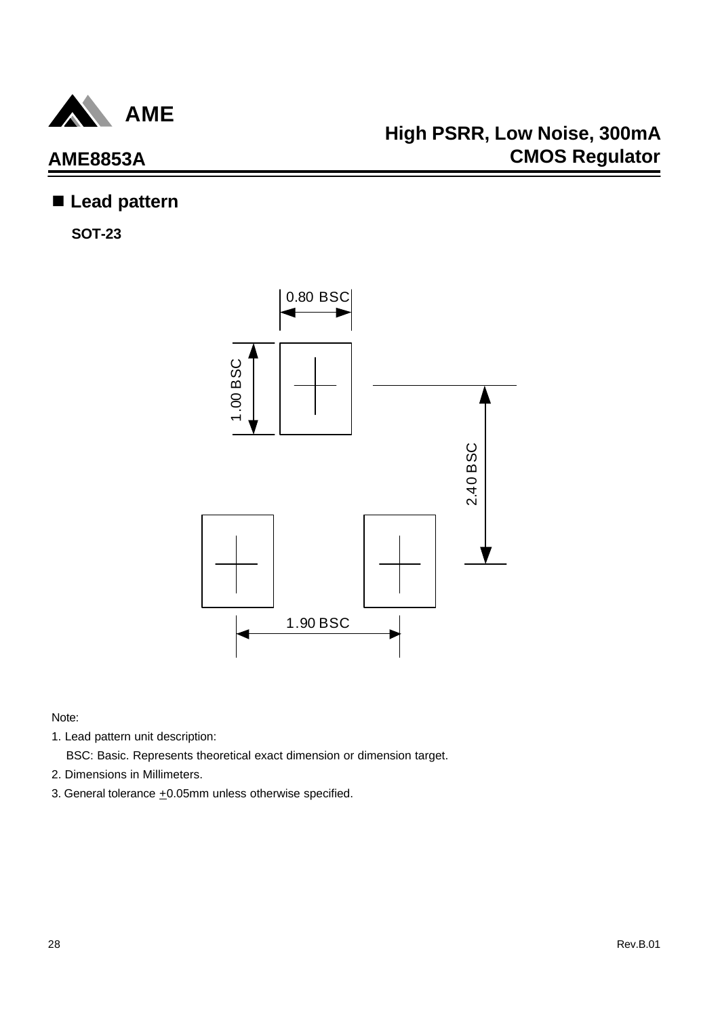

## n **Lead pattern**

**SOT-23**



- 1. Lead pattern unit description:
	- BSC: Basic. Represents theoretical exact dimension or dimension target.
- 2. Dimensions in Millimeters.
- 3. General tolerance  $\pm 0.05$ mm unless otherwise specified.